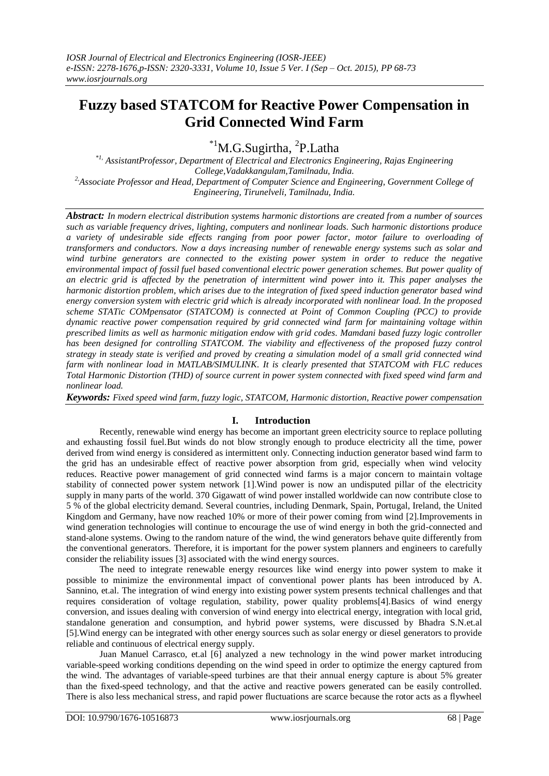# **Fuzzy based STATCOM for Reactive Power Compensation in Grid Connected Wind Farm**

\*<sup>1</sup>M.G.Sugirtha, <sup>2</sup>P.Latha

*\*1, AssistantProfessor, Department of Electrical and Electronics Engineering, Rajas Engineering College,Vadakkangulam,Tamilnadu, India. 2,Associate Professor and Head, Department of Computer Science and Engineering, Government College of Engineering, Tirunelveli, Tamilnadu, India.* 

*Abstract: In modern electrical distribution systems harmonic distortions are created from a number of sources such as variable frequency drives, lighting, computers and nonlinear loads. Such harmonic distortions produce a variety of undesirable side effects ranging from poor power factor, motor failure to overloading of transformers and conductors. Now a days increasing number of renewable energy systems such as solar and wind turbine generators are connected to the existing power system in order to reduce the negative environmental impact of fossil fuel based conventional electric power generation schemes. But power quality of an electric grid is affected by the penetration of intermittent wind power into it. This paper analyses the harmonic distortion problem, which arises due to the integration of fixed speed induction generator based wind energy conversion system with electric grid which is already incorporated with nonlinear load. In the proposed scheme STATic COMpensator (STATCOM) is connected at Point of Common Coupling (PCC) to provide dynamic reactive power compensation required by grid connected wind farm for maintaining voltage within prescribed limits as well as harmonic mitigation endow with grid codes. Mamdani based fuzzy logic controller*  has been designed for controlling STATCOM. The viability and effectiveness of the proposed fuzzy control *strategy in steady state is verified and proved by creating a simulation model of a small grid connected wind farm with nonlinear load in MATLAB/SIMULINK. It is clearly presented that STATCOM with FLC reduces Total Harmonic Distortion (THD) of source current in power system connected with fixed speed wind farm and nonlinear load.*

*Keywords: Fixed speed wind farm, fuzzy logic, STATCOM, Harmonic distortion, Reactive power compensation*

# **I. Introduction**

Recently, renewable wind energy has become an important green electricity source to replace polluting and exhausting fossil fuel.But winds do not blow strongly enough to produce electricity all the time, power derived from wind energy is considered as intermittent only. Connecting induction generator based wind farm to the grid has an undesirable effect of reactive power absorption from grid, especially when wind velocity reduces. Reactive power management of grid connected wind farms is a major concern to maintain voltage stability of connected power system network [1].Wind power is now an undisputed pillar of the electricity supply in many parts of the world. 370 Gigawatt of wind power installed worldwide can now contribute close to 5 % of the global electricity demand. Several countries, including Denmark, Spain, Portugal, Ireland, the United Kingdom and Germany, have now reached 10% or more of their power coming from wind [2].Improvements in wind generation technologies will continue to encourage the use of wind energy in both the grid-connected and stand-alone systems. Owing to the random nature of the wind, the wind generators behave quite differently from the conventional generators. Therefore, it is important for the power system planners and engineers to carefully consider the reliability issues [3] associated with the wind energy sources.

The need to integrate renewable energy resources like wind energy into power system to make it possible to minimize the environmental impact of conventional power plants has been introduced by A. Sannino, et.al. The integration of wind energy into existing power system presents technical challenges and that requires consideration of voltage regulation, stability, power quality problems[4].Basics of wind energy conversion, and issues dealing with conversion of wind energy into electrical energy, integration with local grid, standalone generation and consumption, and hybrid power systems, were discussed by Bhadra S.N.et.al [5].Wind energy can be integrated with other energy sources such as solar energy or diesel generators to provide reliable and continuous of electrical energy supply.

Juan Manuel Carrasco, et.al [6] analyzed a new technology in the wind power market introducing variable-speed working conditions depending on the wind speed in order to optimize the energy captured from the wind. The advantages of variable-speed turbines are that their annual energy capture is about 5% greater than the fixed-speed technology, and that the active and reactive powers generated can be easily controlled. There is also less mechanical stress, and rapid power fluctuations are scarce because the rotor acts as a flywheel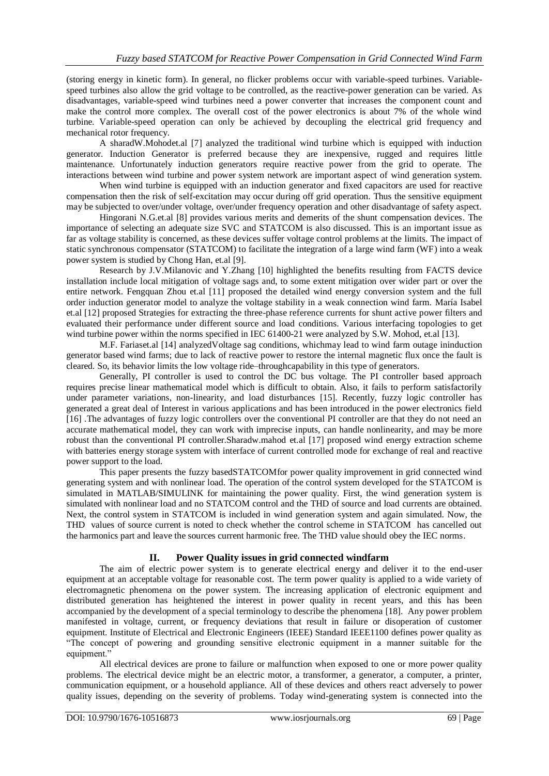(storing energy in kinetic form). In general, no flicker problems occur with variable-speed turbines. Variablespeed turbines also allow the grid voltage to be controlled, as the reactive-power generation can be varied. As disadvantages, variable-speed wind turbines need a power converter that increases the component count and make the control more complex. The overall cost of the power electronics is about 7% of the whole wind turbine. Variable-speed operation can only be achieved by decoupling the electrical grid frequency and mechanical rotor frequency.

A sharadW.Mohodet.al [7] analyzed the traditional wind turbine which is equipped with induction generator. Induction Generator is preferred because they are inexpensive, rugged and requires little maintenance. Unfortunately induction generators require reactive power from the grid to operate. The interactions between wind turbine and power system network are important aspect of wind generation system.

When wind turbine is equipped with an induction generator and fixed capacitors are used for reactive compensation then the risk of self-excitation may occur during off grid operation. Thus the sensitive equipment may be subjected to over/under voltage, over/under frequency operation and other disadvantage of safety aspect.

Hingorani N.G.et.al [8] provides various merits and demerits of the shunt compensation devices. The importance of selecting an adequate size SVC and STATCOM is also discussed. This is an important issue as far as voltage stability is concerned, as these devices suffer voltage control problems at the limits. The impact of static synchronous compensator (STATCOM) to facilitate the integration of a large wind farm (WF) into a weak power system is studied by Chong Han, et.al [9].

Research by J.V.Milanovic and Y.Zhang [10] highlighted the benefits resulting from FACTS device installation include local mitigation of voltage sags and, to some extent mitigation over wider part or over the entire network. Fengquan Zhou et.al [11] proposed the detailed wind energy conversion system and the full order induction generator model to analyze the voltage stability in a weak connection wind farm. María Isabel et.al [12] proposed Strategies for extracting the three-phase reference currents for shunt active power filters and evaluated their performance under different source and load conditions. Various interfacing topologies to get wind turbine power within the norms specified in IEC 61400-21 were analyzed by S.W. Mohod, et.al [13].

M.F. Fariaset.al [14] analyzedVoltage sag conditions, whichmay lead to wind farm outage ininduction generator based wind farms; due to lack of reactive power to restore the internal magnetic flux once the fault is cleared. So, its behavior limits the low voltage ride–throughcapability in this type of generators.

Generally, PI controller is used to control the DC bus voltage. The PI controller based approach requires precise linear mathematical model which is difficult to obtain. Also, it fails to perform satisfactorily under parameter variations, non-linearity, and load disturbances [15]. Recently, fuzzy logic controller has generated a great deal of Interest in various applications and has been introduced in the power electronics field [16] .The advantages of fuzzy logic controllers over the conventional PI controller are that they do not need an accurate mathematical model, they can work with imprecise inputs, can handle nonlinearity, and may be more robust than the conventional PI controller.Sharadw.mahod et.al [17] proposed wind energy extraction scheme with batteries energy storage system with interface of current controlled mode for exchange of real and reactive power support to the load.

This paper presents the fuzzy basedSTATCOMfor power quality improvement in grid connected wind generating system and with nonlinear load. The operation of the control system developed for the STATCOM is simulated in MATLAB/SIMULINK for maintaining the power quality. First, the wind generation system is simulated with nonlinear load and no STATCOM control and the THD of source and load currents are obtained. Next, the control system in STATCOM is included in wind generation system and again simulated. Now, the THD values of source current is noted to check whether the control scheme in STATCOM has cancelled out the harmonics part and leave the sources current harmonic free. The THD value should obey the IEC norms.

# **II. Power Quality issues in grid connected windfarm**

The aim of electric power system is to generate electrical energy and deliver it to the end-user equipment at an acceptable voltage for reasonable cost. The term power quality is applied to a wide variety of electromagnetic phenomena on the power system. The increasing application of electronic equipment and distributed generation has heightened the interest in power quality in recent years, and this has been accompanied by the development of a special terminology to describe the phenomena [18]. Any power problem manifested in voltage, current, or frequency deviations that result in failure or disoperation of customer equipment. Institute of Electrical and Electronic Engineers (IEEE) Standard IEEE1100 defines power quality as "The concept of powering and grounding sensitive electronic equipment in a manner suitable for the equipment.'

All electrical devices are prone to failure or malfunction when exposed to one or more power quality problems. The electrical device might be an electric motor, a transformer, a generator, a computer, a printer, communication equipment, or a household appliance. All of these devices and others react adversely to power quality issues, depending on the severity of problems. Today wind-generating system is connected into the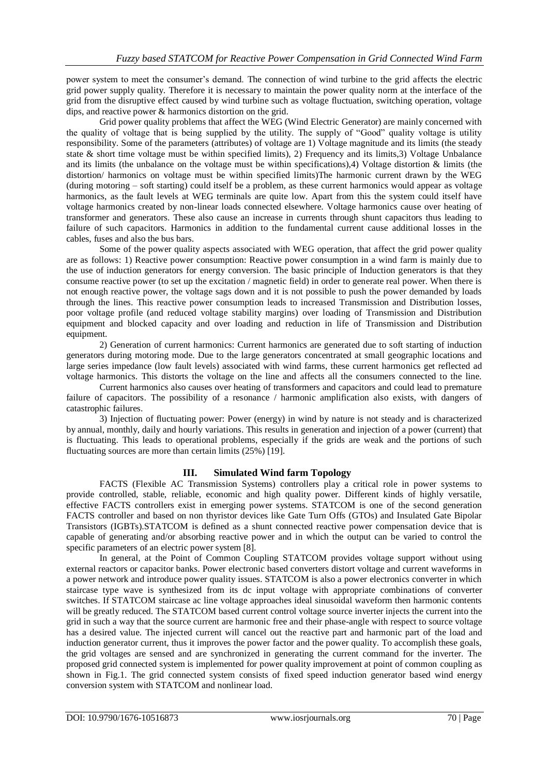power system to meet the consumer's demand. The connection of wind turbine to the grid affects the electric grid power supply quality. Therefore it is necessary to maintain the power quality norm at the interface of the grid from the disruptive effect caused by wind turbine such as voltage fluctuation, switching operation, voltage dips, and reactive power & harmonics distortion on the grid.

Grid power quality problems that affect the WEG (Wind Electric Generator) are mainly concerned with the quality of voltage that is being supplied by the utility. The supply of "Good" quality voltage is utility responsibility. Some of the parameters (attributes) of voltage are 1) Voltage magnitude and its limits (the steady state & short time voltage must be within specified limits), 2) Frequency and its limits,3) Voltage Unbalance and its limits (the unbalance on the voltage must be within specifications),4) Voltage distortion & limits (the distortion/ harmonics on voltage must be within specified limits)The harmonic current drawn by the WEG (during motoring – soft starting) could itself be a problem, as these current harmonics would appear as voltage harmonics, as the fault levels at WEG terminals are quite low. Apart from this the system could itself have voltage harmonics created by non-linear loads connected elsewhere. Voltage harmonics cause over heating of transformer and generators. These also cause an increase in currents through shunt capacitors thus leading to failure of such capacitors. Harmonics in addition to the fundamental current cause additional losses in the cables, fuses and also the bus bars.

Some of the power quality aspects associated with WEG operation, that affect the grid power quality are as follows: 1) Reactive power consumption: Reactive power consumption in a wind farm is mainly due to the use of induction generators for energy conversion. The basic principle of Induction generators is that they consume reactive power (to set up the excitation / magnetic field) in order to generate real power. When there is not enough reactive power, the voltage sags down and it is not possible to push the power demanded by loads through the lines. This reactive power consumption leads to increased Transmission and Distribution losses, poor voltage profile (and reduced voltage stability margins) over loading of Transmission and Distribution equipment and blocked capacity and over loading and reduction in life of Transmission and Distribution equipment.

2) Generation of current harmonics: Current harmonics are generated due to soft starting of induction generators during motoring mode. Due to the large generators concentrated at small geographic locations and large series impedance (low fault levels) associated with wind farms, these current harmonics get reflected ad voltage harmonics. This distorts the voltage on the line and affects all the consumers connected to the line.

Current harmonics also causes over heating of transformers and capacitors and could lead to premature failure of capacitors. The possibility of a resonance / harmonic amplification also exists, with dangers of catastrophic failures.

3) Injection of fluctuating power: Power (energy) in wind by nature is not steady and is characterized by annual, monthly, daily and hourly variations. This results in generation and injection of a power (current) that is fluctuating. This leads to operational problems, especially if the grids are weak and the portions of such fluctuating sources are more than certain limits (25%) [19].

## **III. Simulated Wind farm Topology**

FACTS (Flexible AC Transmission Systems) controllers play a critical role in power systems to provide controlled, stable, reliable, economic and high quality power. Different kinds of highly versatile, effective FACTS controllers exist in emerging power systems. STATCOM is one of the second generation FACTS controller and based on non thyristor devices like Gate Turn Offs (GTOs) and Insulated Gate Bipolar Transistors (IGBTs).STATCOM is defined as a shunt connected reactive power compensation device that is capable of generating and/or absorbing reactive power and in which the output can be varied to control the specific parameters of an electric power system [8].

In general, at the Point of Common Coupling STATCOM provides voltage support without using external reactors or capacitor banks. Power electronic based converters distort voltage and current waveforms in a power network and introduce power quality issues. STATCOM is also a power electronics converter in which staircase type wave is synthesized from its dc input voltage with appropriate combinations of converter switches. If STATCOM staircase ac line voltage approaches ideal sinusoidal waveform then harmonic contents will be greatly reduced. The STATCOM based current control voltage source inverter injects the current into the grid in such a way that the source current are harmonic free and their phase-angle with respect to source voltage has a desired value. The injected current will cancel out the reactive part and harmonic part of the load and induction generator current, thus it improves the power factor and the power quality. To accomplish these goals, the grid voltages are sensed and are synchronized in generating the current command for the inverter. The proposed grid connected system is implemented for power quality improvement at point of common coupling as shown in Fig.1. The grid connected system consists of fixed speed induction generator based wind energy conversion system with STATCOM and nonlinear load.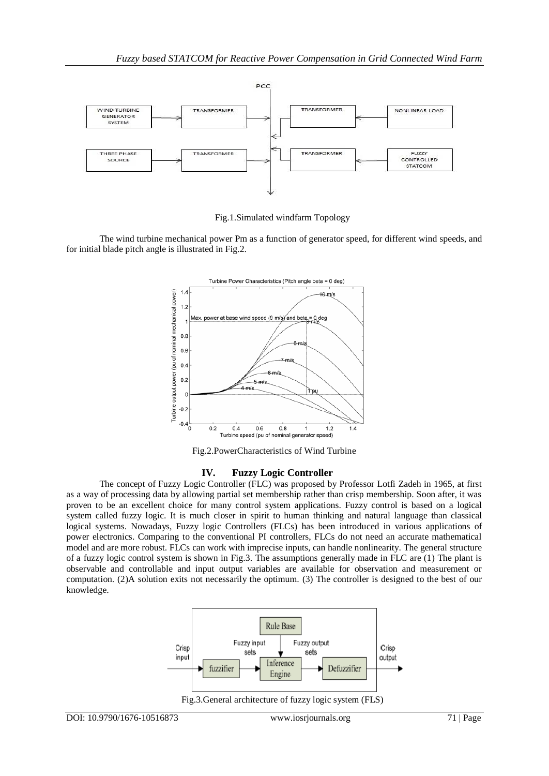

Fig.1.Simulated windfarm Topology

The wind turbine mechanical power Pm as a function of generator speed, for different wind speeds, and for initial blade pitch angle is illustrated in Fig.2.



Fig.2.PowerCharacteristics of Wind Turbine

## **IV. Fuzzy Logic Controller**

The concept of Fuzzy Logic Controller (FLC) was proposed by Professor Lotfi Zadeh in 1965, at first as a way of processing data by allowing partial set membership rather than crisp membership. Soon after, it was proven to be an excellent choice for many control system applications. Fuzzy control is based on a logical system called fuzzy logic. It is much closer in spirit to human thinking and natural language than classical logical systems. Nowadays, Fuzzy logic Controllers (FLCs) has been introduced in various applications of power electronics. Comparing to the conventional PI controllers, FLCs do not need an accurate mathematical model and are more robust. FLCs can work with imprecise inputs, can handle nonlinearity. The general structure of a fuzzy logic control system is shown in Fig.3. The assumptions generally made in FLC are (1) The plant is observable and controllable and input output variables are available for observation and measurement or computation. (2)A solution exits not necessarily the optimum. (3) The controller is designed to the best of our knowledge.



Fig.3.General architecture of fuzzy logic system (FLS)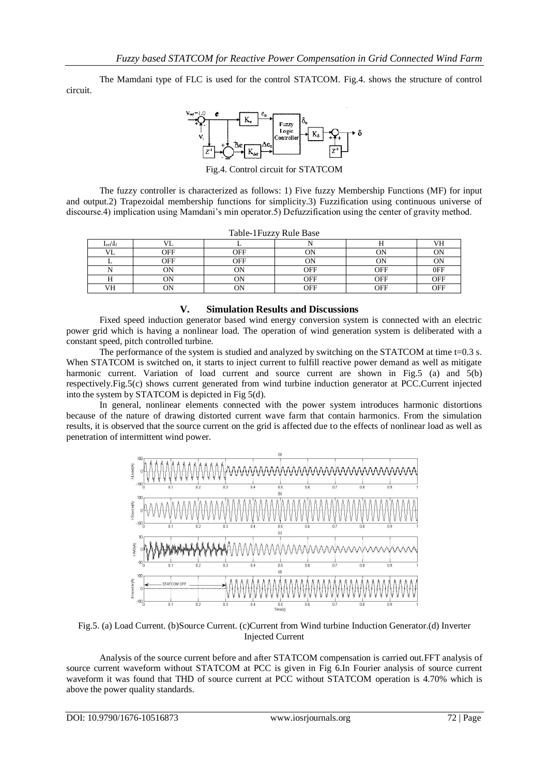The Mamdani type of FLC is used for the control STATCOM. Fig.4. shows the structure of control circuit.



Fig.4. Control circuit for STATCOM

The fuzzy controller is characterized as follows: 1) Five fuzzy Membership Functions (MF) for input and output.2) Trapezoidal membership functions for simplicity.3) Fuzzification using continuous universe of discourse.4) implication using Mamdani's min operator.5) Defuzzification using the center of gravity method.

| Table-1 Fuzzy Rule Base |            |            |     |     |            |
|-------------------------|------------|------------|-----|-----|------------|
| $I_{ref}$   f           |            |            |     |     |            |
| VI.                     | <b>OFF</b> | <b>OFF</b> |     |     |            |
|                         | OFF        | OFF        | ОN  |     |            |
|                         | ОN         | ОN         | OFF | OFF | 0FF        |
|                         | ЭN         | ЭN         | OFF | OFF | <b>OFF</b> |
| VH                      |            | OΝ         | OFF | OFF | <b>OFF</b> |

**V. Simulation Results and Discussions**

Fixed speed induction generator based wind energy conversion system is connected with an electric power grid which is having a nonlinear load. The operation of wind generation system is deliberated with a constant speed, pitch controlled turbine.

The performance of the system is studied and analyzed by switching on the STATCOM at time  $t=0.3$  s. When STATCOM is switched on, it starts to inject current to fulfill reactive power demand as well as mitigate harmonic current. Variation of load current and source current are shown in Fig.5 (a) and 5(b) respectively.Fig.5(c) shows current generated from wind turbine induction generator at PCC.Current injected into the system by STATCOM is depicted in Fig 5(d).

In general, nonlinear elements connected with the power system introduces harmonic distortions because of the nature of drawing distorted current wave farm that contain harmonics. From the simulation results, it is observed that the source current on the grid is affected due to the effects of nonlinear load as well as penetration of intermittent wind power.



Fig.5. (a) Load Current. (b)Source Current. (c)Current from Wind turbine Induction Generator.(d) Inverter Injected Current

Analysis of the source current before and after STATCOM compensation is carried out.FFT analysis of source current waveform without STATCOM at PCC is given in Fig 6.In Fourier analysis of source current waveform it was found that THD of source current at PCC without STATCOM operation is 4.70% which is above the power quality standards.